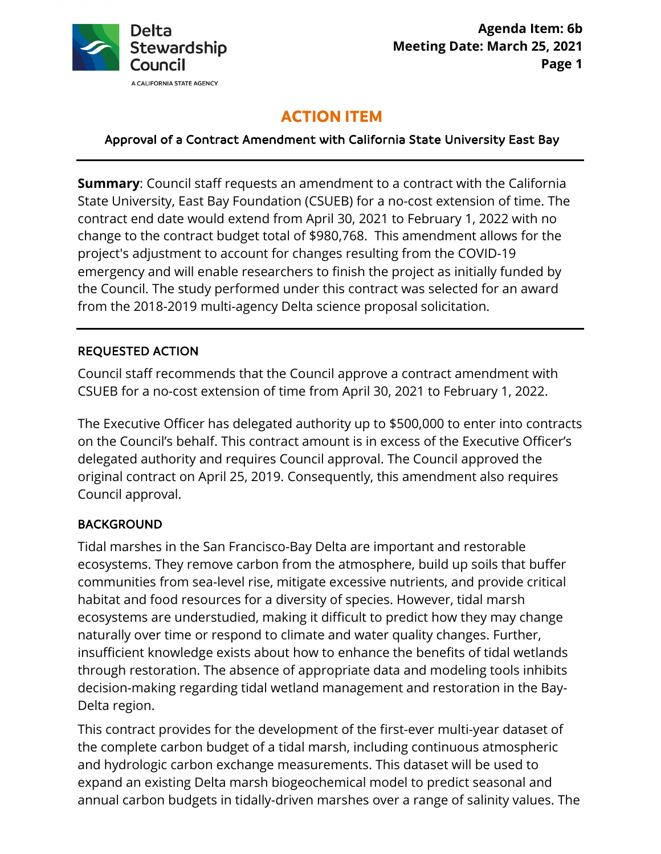

# **ACTION ITEM**

Approval of a Contract Amendment with California State University East Bay

 **Summary**: Council staff requests an amendment to a contract with the California contract end date would extend from April 30, 2021 to February 1, 2022 with no project's adjustment to account for changes resulting from the COVID-19 State University, East Bay Foundation (CSUEB) for a no-cost extension of time. The change to the contract budget total of \$980,768. This amendment allows for the emergency and will enable researchers to finish the project as initially funded by the Council. The study performed under this contract was selected for an award from the 2018-2019 multi-agency Delta science proposal solicitation.

## REQUESTED ACTION

Council staff recommends that the Council approve a contract amendment with CSUEB for a no-cost extension of time from April 30, 2021 to February 1, 2022.

 on the Council's behalf. This contract amount is in excess of the Executive Officer's Council approval. The Executive Officer has delegated authority up to \$500,000 to enter into contracts delegated authority and requires Council approval. The Council approved the original contract on April 25, 2019. Consequently, this amendment also requires

#### BACKGROUND

 ecosystems. They remove carbon from the atmosphere, build up soils that buffer Tidal marshes in the San Francisco-Bay Delta are important and restorable communities from sea-level rise, mitigate excessive nutrients, and provide critical habitat and food resources for a diversity of species. However, tidal marsh ecosystems are understudied, making it difficult to predict how they may change naturally over time or respond to climate and water quality changes. Further, insufficient knowledge exists about how to enhance the benefits of tidal wetlands through restoration. The absence of appropriate data and modeling tools inhibits decision-making regarding tidal wetland management and restoration in the Bay-Delta region.

 and hydrologic carbon exchange measurements. This dataset will be used to This contract provides for the development of the first-ever multi-year dataset of the complete carbon budget of a tidal marsh, including continuous atmospheric expand an existing Delta marsh biogeochemical model to predict seasonal and annual carbon budgets in tidally-driven marshes over a range of salinity values. The